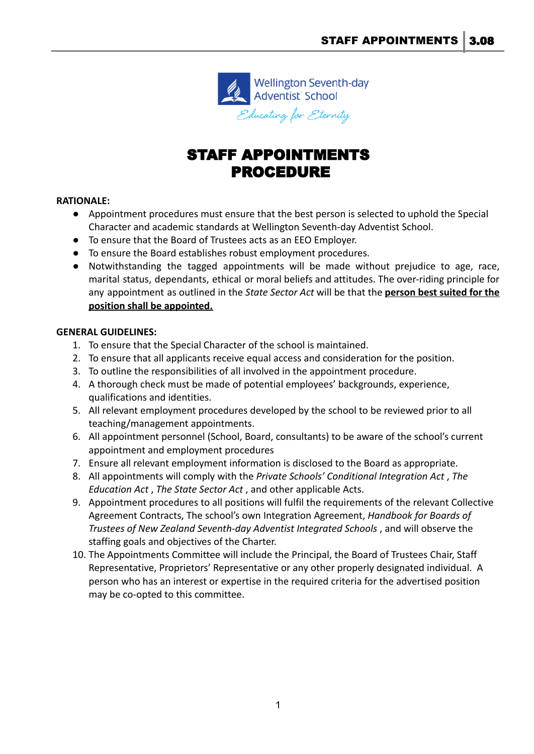

# STAFF APPOINTMENTS PROCEDURE

## **RATIONALE:**

- Appointment procedures must ensure that the best person is selected to uphold the Special Character and academic standards at Wellington Seventh-day Adventist School.
- To ensure that the Board of Trustees acts as an EEO Employer.
- To ensure the Board establishes robust employment procedures.
- Notwithstanding the tagged appointments will be made without prejudice to age, race, marital status, dependants, ethical or moral beliefs and attitudes. The over-riding principle for any appointment as outlined in the *State Sector Act* will be that the **person best suited for the position shall be appointed.**

### **GENERAL GUIDELINES:**

- 1. To ensure that the Special Character of the school is maintained.
- 2. To ensure that all applicants receive equal access and consideration for the position.
- 3. To outline the responsibilities of all involved in the appointment procedure.
- 4. A thorough check must be made of potential employees' backgrounds, experience, qualifications and identities.
- 5. All relevant employment procedures developed by the school to be reviewed prior to all teaching/management appointments.
- 6. All appointment personnel (School, Board, consultants) to be aware of the school's current appointment and employment procedures
- 7. Ensure all relevant employment information is disclosed to the Board as appropriate.
- 8. All appointments will comply with the *Private Schools' Conditional Integration Act* , *The Education Act* , *The State Sector Act* , and other applicable Acts.
- 9. Appointment procedures to all positions will fulfil the requirements of the relevant Collective Agreement Contracts, The school's own Integration Agreement, *Handbook for Boards of Trustees of New Zealand Seventh-day Adventist Integrated Schools* , and will observe the staffing goals and objectives of the Charter.
- 10. The Appointments Committee will include the Principal, the Board of Trustees Chair, Staff Representative, Proprietors' Representative or any other properly designated individual. A person who has an interest or expertise in the required criteria for the advertised position may be co-opted to this committee.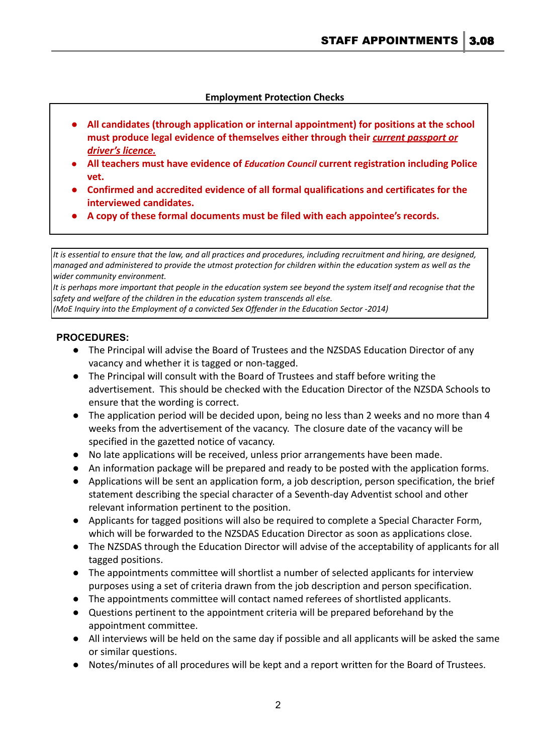### **Employment Protection Checks**

- **● All candidates (through application or internal appointment) for positions at the school must produce legal evidence of themselves either through their** *current passport or driver's licence.*
- **● All teachers must have evidence of** *Education Council* **current registration including Police vet.**
- **● Confirmed and accredited evidence of all formal qualifications and certificates for the interviewed candidates.**
- **● A copy of these formal documents must be filed with each appointee's records.**

It is essential to ensure that the law, and all practices and procedures, including recruitment and hiring, are designed, managed and administered to provide the utmost protection for children within the education system as well as the *wider community environment.*

It is perhaps more important that people in the education system see beyond the system itself and recognise that the *safety and welfare of the children in the education system transcends all else.*

*(MoE Inquiry into the Employment of a convicted Sex Offender in the Education Sector -2014)*

### **PROCEDURES:**

- The Principal will advise the Board of Trustees and the NZSDAS Education Director of any vacancy and whether it is tagged or non-tagged.
- The Principal will consult with the Board of Trustees and staff before writing the advertisement. This should be checked with the Education Director of the NZSDA Schools to ensure that the wording is correct.
- The application period will be decided upon, being no less than 2 weeks and no more than 4 weeks from the advertisement of the vacancy. The closure date of the vacancy will be specified in the gazetted notice of vacancy.
- No late applications will be received, unless prior arrangements have been made.
- An information package will be prepared and ready to be posted with the application forms.
- Applications will be sent an application form, a job description, person specification, the brief statement describing the special character of a Seventh-day Adventist school and other relevant information pertinent to the position.
- Applicants for tagged positions will also be required to complete a Special Character Form, which will be forwarded to the NZSDAS Education Director as soon as applications close.
- The NZSDAS through the Education Director will advise of the acceptability of applicants for all tagged positions.
- The appointments committee will shortlist a number of selected applicants for interview purposes using a set of criteria drawn from the job description and person specification.
- The appointments committee will contact named referees of shortlisted applicants.
- Questions pertinent to the appointment criteria will be prepared beforehand by the appointment committee.
- All interviews will be held on the same day if possible and all applicants will be asked the same or similar questions.
- Notes/minutes of all procedures will be kept and a report written for the Board of Trustees.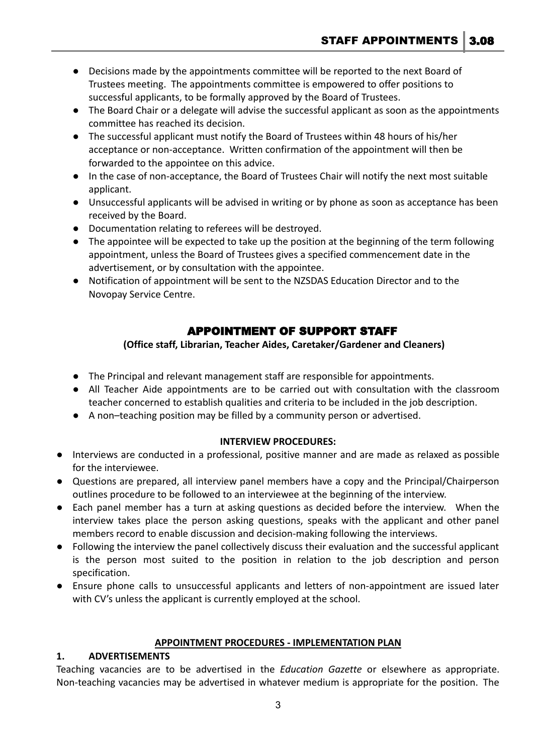- Decisions made by the appointments committee will be reported to the next Board of Trustees meeting. The appointments committee is empowered to offer positions to successful applicants, to be formally approved by the Board of Trustees.
- The Board Chair or a delegate will advise the successful applicant as soon as the appointments committee has reached its decision.
- The successful applicant must notify the Board of Trustees within 48 hours of his/her acceptance or non-acceptance. Written confirmation of the appointment will then be forwarded to the appointee on this advice.
- In the case of non-acceptance, the Board of Trustees Chair will notify the next most suitable applicant.
- Unsuccessful applicants will be advised in writing or by phone as soon as acceptance has been received by the Board.
- Documentation relating to referees will be destroyed.
- The appointee will be expected to take up the position at the beginning of the term following appointment, unless the Board of Trustees gives a specified commencement date in the advertisement, or by consultation with the appointee.
- Notification of appointment will be sent to the NZSDAS Education Director and to the Novopay Service Centre.

# APPOINTMENT OF SUPPORT STAFF

# **(Office staff, Librarian, Teacher Aides, Caretaker/Gardener and Cleaners)**

- The Principal and relevant management staff are responsible for appointments.
- All Teacher Aide appointments are to be carried out with consultation with the classroom teacher concerned to establish qualities and criteria to be included in the job description.
- A non–teaching position may be filled by a community person or advertised.

# **INTERVIEW PROCEDURES:**

- Interviews are conducted in a professional, positive manner and are made as relaxed as possible for the interviewee.
- Questions are prepared, all interview panel members have a copy and the Principal/Chairperson outlines procedure to be followed to an interviewee at the beginning of the interview.
- Each panel member has a turn at asking questions as decided before the interview. When the interview takes place the person asking questions, speaks with the applicant and other panel members record to enable discussion and decision-making following the interviews.
- Following the interview the panel collectively discuss their evaluation and the successful applicant is the person most suited to the position in relation to the job description and person specification.
- Ensure phone calls to unsuccessful applicants and letters of non-appointment are issued later with CV's unless the applicant is currently employed at the school.

# **APPOINTMENT PROCEDURES - IMPLEMENTATION PLAN**

# **1. ADVERTISEMENTS**

Teaching vacancies are to be advertised in the *Education Gazette* or elsewhere as appropriate. Non-teaching vacancies may be advertised in whatever medium is appropriate for the position. The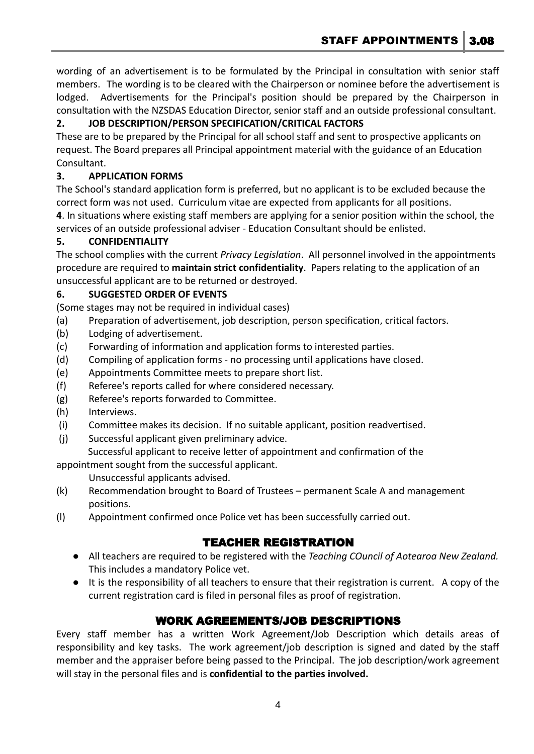STAFF APPOINTMENTS 3.08

wording of an advertisement is to be formulated by the Principal in consultation with senior staff members. The wording is to be cleared with the Chairperson or nominee before the advertisement is lodged. Advertisements for the Principal's position should be prepared by the Chairperson in consultation with the NZSDAS Education Director, senior staff and an outside professional consultant.

# **2. JOB DESCRIPTION/PERSON SPECIFICATION/CRITICAL FACTORS**

These are to be prepared by the Principal for all school staff and sent to prospective applicants on request. The Board prepares all Principal appointment material with the guidance of an Education Consultant.

# **3. APPLICATION FORMS**

The School's standard application form is preferred, but no applicant is to be excluded because the correct form was not used. Curriculum vitae are expected from applicants for all positions.

**4**. In situations where existing staff members are applying for a senior position within the school, the services of an outside professional adviser - Education Consultant should be enlisted.

# **5. CONFIDENTIALITY**

The school complies with the current *Privacy Legislation*. All personnel involved in the appointments procedure are required to **maintain strict confidentiality**. Papers relating to the application of an unsuccessful applicant are to be returned or destroyed.

## **6. SUGGESTED ORDER OF EVENTS**

(Some stages may not be required in individual cases)

- (a) Preparation of advertisement, job description, person specification, critical factors.
- (b) Lodging of advertisement.
- (c) Forwarding of information and application forms to interested parties.
- (d) Compiling of application forms no processing until applications have closed.
- (e) Appointments Committee meets to prepare short list.
- (f) Referee's reports called for where considered necessary.
- (g) Referee's reports forwarded to Committee.
- (h) Interviews.
- (i) Committee makes its decision. If no suitable applicant, position readvertised.
- (j) Successful applicant given preliminary advice.
- Successful applicant to receive letter of appointment and confirmation of the appointment sought from the successful applicant.

Unsuccessful applicants advised.

- (k) Recommendation brought to Board of Trustees permanent Scale A and management positions.
- (l) Appointment confirmed once Police vet has been successfully carried out.

# TEACHER REGISTRATION

- All teachers are required to be registered with the *Teaching COuncil of Aotearoa New Zealand.* This includes a mandatory Police vet.
- It is the responsibility of all teachers to ensure that their registration is current. A copy of the current registration card is filed in personal files as proof of registration.

# WORK AGREEMENTS/JOB DESCRIPTIONS

Every staff member has a written Work Agreement/Job Description which details areas of responsibility and key tasks. The work agreement/job description is signed and dated by the staff member and the appraiser before being passed to the Principal. The job description/work agreement will stay in the personal files and is **confidential to the parties involved.**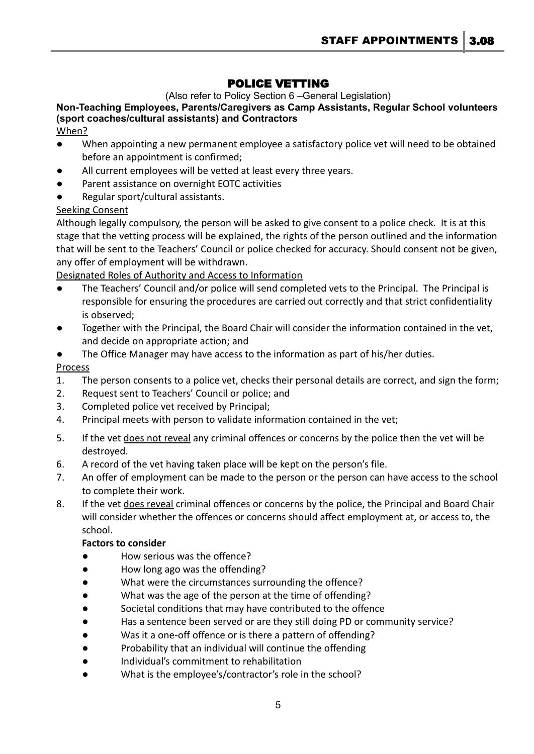# POLICE VETTING

(Also refer to Policy Section 6 –General Legislation)

**Non-Teaching Employees, Parents/Caregivers as Camp Assistants, Regular School volunteers (sport coaches/cultural assistants) and Contractors**

When?

- When appointing a new permanent employee a satisfactory police vet will need to be obtained before an appointment is confirmed;
- All current employees will be vetted at least every three years.
- Parent assistance on overnight EOTC activities
- Regular sport/cultural assistants.

## **Seeking Consent**

Although legally compulsory, the person will be asked to give consent to a police check. It is at this stage that the vetting process will be explained, the rights of the person outlined and the information that will be sent to the Teachers' Council or police checked for accuracy. Should consent not be given, any offer of employment will be withdrawn.

## Designated Roles of Authority and Access to Information

- The Teachers' Council and/or police will send completed vets to the Principal. The Principal is responsible for ensuring the procedures are carried out correctly and that strict confidentiality is observed;
- Together with the Principal, the Board Chair will consider the information contained in the vet, and decide on appropriate action; and
- The Office Manager may have access to the information as part of his/her duties.

## Process

- 1. The person consents to a police vet, checks their personal details are correct, and sign the form;
- 2. Request sent to Teachers' Council or police; and
- 3. Completed police vet received by Principal;
- 4. Principal meets with person to validate information contained in the vet;
- 5. If the vet does not reveal any criminal offences or concerns by the police then the vet will be destroyed.
- 6. A record of the vet having taken place will be kept on the person's file.
- 7. An offer of employment can be made to the person or the person can have access to the school to complete their work.
- 8. If the vet does reveal criminal offences or concerns by the police, the Principal and Board Chair will consider whether the offences or concerns should affect employment at, or access to, the school.

### **Factors to consider**

- How serious was the offence?
- How long ago was the offending?
- What were the circumstances surrounding the offence?
- What was the age of the person at the time of offending?
- Societal conditions that may have contributed to the offence
- Has a sentence been served or are they still doing PD or community service?
- Was it a one-off offence or is there a pattern of offending?
- Probability that an individual will continue the offending
- Individual's commitment to rehabilitation
- What is the employee's/contractor's role in the school?